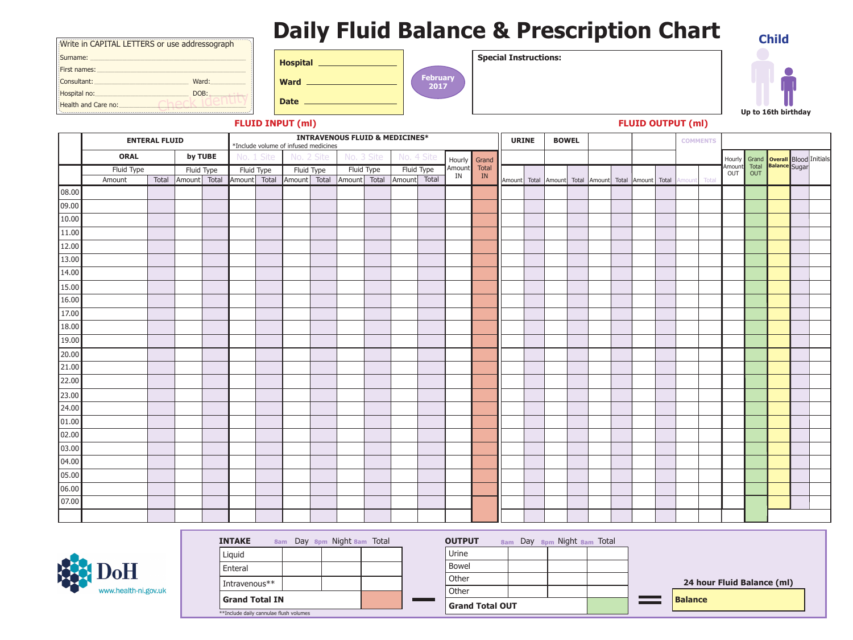| <b>Hospital</b> |  |
|-----------------|--|
|                 |  |

**Ward**

**Date**

**Special Instructions:**



## **FLUID OUTPUT (ml)**

| <b>OUTPUT</b>          |  | 8am Day 8pm Night 8am Total |  |
|------------------------|--|-----------------------------|--|
| Urine                  |  |                             |  |
| <b>Bowel</b>           |  |                             |  |
| Other                  |  |                             |  |
| Other                  |  |                             |  |
| <b>Grand Total OUT</b> |  |                             |  |

# **Daily Fluid Balance & Prescription Chart**

**Balance**

## **24 hour Fluid Balance (ml)**

**FLUID INPUT (ml)**

| Write in CAPITAL LETTERS or use addressograph |       |
|-----------------------------------------------|-------|
| Surname:                                      |       |
| First names:                                  |       |
| Consultant:                                   | Ward: |
| Hospital no:                                  | DOB:  |
| Health and Care no:                           |       |

|                 |             | <b>ENTERAL FLUID</b> |              |            |              | <b>INTRAVENOUS FLUID &amp; MEDICINES*</b><br>*Include volume of infused medicines |              |            |              | <b>BOWEL</b><br><b>URINE</b> |              |            |              |               |  |  | <b>COMMENTS</b> |  |  |                                                                   |       |       |  |                                                                                     |  |
|-----------------|-------------|----------------------|--------------|------------|--------------|-----------------------------------------------------------------------------------|--------------|------------|--------------|------------------------------|--------------|------------|--------------|---------------|--|--|-----------------|--|--|-------------------------------------------------------------------|-------|-------|--|-------------------------------------------------------------------------------------|--|
|                 | <b>ORAL</b> |                      |              | by TUBE    |              | No. 1 Site                                                                        |              | No. 2 Site | No. 3 Site   |                              |              | No. 4 Site | Hourly       | Grand         |  |  |                 |  |  |                                                                   |       |       |  |                                                                                     |  |
|                 | Fluid Type  |                      |              | Fluid Type |              | Fluid Type                                                                        |              | Fluid Type |              | Fluid Type                   |              | Fluid Type | Amount<br>IN | <b>Total</b>  |  |  |                 |  |  |                                                                   |       |       |  | Hourly Grand <b>Overall</b> Blood Initials<br>Amount Total Balance Sugar<br>OUT OUT |  |
|                 | Amount      | Total                | Amount Total |            | Amount Total |                                                                                   | Amount Total |            | Amount Total |                              | Amount Total |            |              | $\mathbf{IN}$ |  |  |                 |  |  | Amount   Total   Amount   Total   Amount   Total   Amount   Total | mount | Total |  |                                                                                     |  |
| 08.00           |             |                      |              |            |              |                                                                                   |              |            |              |                              |              |            |              |               |  |  |                 |  |  |                                                                   |       |       |  |                                                                                     |  |
| 09.00           |             |                      |              |            |              |                                                                                   |              |            |              |                              |              |            |              |               |  |  |                 |  |  |                                                                   |       |       |  |                                                                                     |  |
| 10.00           |             |                      |              |            |              |                                                                                   |              |            |              |                              |              |            |              |               |  |  |                 |  |  |                                                                   |       |       |  |                                                                                     |  |
| 11.00           |             |                      |              |            |              |                                                                                   |              |            |              |                              |              |            |              |               |  |  |                 |  |  |                                                                   |       |       |  |                                                                                     |  |
| 12.00           |             |                      |              |            |              |                                                                                   |              |            |              |                              |              |            |              |               |  |  |                 |  |  |                                                                   |       |       |  |                                                                                     |  |
| 13.00           |             |                      |              |            |              |                                                                                   |              |            |              |                              |              |            |              |               |  |  |                 |  |  |                                                                   |       |       |  |                                                                                     |  |
| 14.00           |             |                      |              |            |              |                                                                                   |              |            |              |                              |              |            |              |               |  |  |                 |  |  |                                                                   |       |       |  |                                                                                     |  |
| 15.00           |             |                      |              |            |              |                                                                                   |              |            |              |                              |              |            |              |               |  |  |                 |  |  |                                                                   |       |       |  |                                                                                     |  |
| 16.00           |             |                      |              |            |              |                                                                                   |              |            |              |                              |              |            |              |               |  |  |                 |  |  |                                                                   |       |       |  |                                                                                     |  |
| 17.00           |             |                      |              |            |              |                                                                                   |              |            |              |                              |              |            |              |               |  |  |                 |  |  |                                                                   |       |       |  |                                                                                     |  |
| 18.00           |             |                      |              |            |              |                                                                                   |              |            |              |                              |              |            |              |               |  |  |                 |  |  |                                                                   |       |       |  |                                                                                     |  |
| 19.00           |             |                      |              |            |              |                                                                                   |              |            |              |                              |              |            |              |               |  |  |                 |  |  |                                                                   |       |       |  |                                                                                     |  |
| 20.00           |             |                      |              |            |              |                                                                                   |              |            |              |                              |              |            |              |               |  |  |                 |  |  |                                                                   |       |       |  |                                                                                     |  |
| 21.00           |             |                      |              |            |              |                                                                                   |              |            |              |                              |              |            |              |               |  |  |                 |  |  |                                                                   |       |       |  |                                                                                     |  |
| 22.00           |             |                      |              |            |              |                                                                                   |              |            |              |                              |              |            |              |               |  |  |                 |  |  |                                                                   |       |       |  |                                                                                     |  |
| 23.00           |             |                      |              |            |              |                                                                                   |              |            |              |                              |              |            |              |               |  |  |                 |  |  |                                                                   |       |       |  |                                                                                     |  |
| 24.00           |             |                      |              |            |              |                                                                                   |              |            |              |                              |              |            |              |               |  |  |                 |  |  |                                                                   |       |       |  |                                                                                     |  |
| 01.00           |             |                      |              |            |              |                                                                                   |              |            |              |                              |              |            |              |               |  |  |                 |  |  |                                                                   |       |       |  |                                                                                     |  |
| 02.00           |             |                      |              |            |              |                                                                                   |              |            |              |                              |              |            |              |               |  |  |                 |  |  |                                                                   |       |       |  |                                                                                     |  |
| 03.00           |             |                      |              |            |              |                                                                                   |              |            |              |                              |              |            |              |               |  |  |                 |  |  |                                                                   |       |       |  |                                                                                     |  |
| $\boxed{04.00}$ |             |                      |              |            |              |                                                                                   |              |            |              |                              |              |            |              |               |  |  |                 |  |  |                                                                   |       |       |  |                                                                                     |  |
| 05.00           |             |                      |              |            |              |                                                                                   |              |            |              |                              |              |            |              |               |  |  |                 |  |  |                                                                   |       |       |  |                                                                                     |  |
| 06.00           |             |                      |              |            |              |                                                                                   |              |            |              |                              |              |            |              |               |  |  |                 |  |  |                                                                   |       |       |  |                                                                                     |  |
| 07.00           |             |                      |              |            |              |                                                                                   |              |            |              |                              |              |            |              |               |  |  |                 |  |  |                                                                   |       |       |  |                                                                                     |  |
|                 |             |                      |              |            |              |                                                                                   |              |            |              |                              |              |            |              |               |  |  |                 |  |  |                                                                   |       |       |  |                                                                                     |  |



| INTAKE                                 |  |  | 8am Day 8pm Night 8am Total |  |
|----------------------------------------|--|--|-----------------------------|--|
| Liquid                                 |  |  |                             |  |
| Enteral                                |  |  |                             |  |
| Intravenous**                          |  |  |                             |  |
| <b>Grand Total IN</b>                  |  |  |                             |  |
| **Include daily cannulae flush volumes |  |  |                             |  |



**Child**